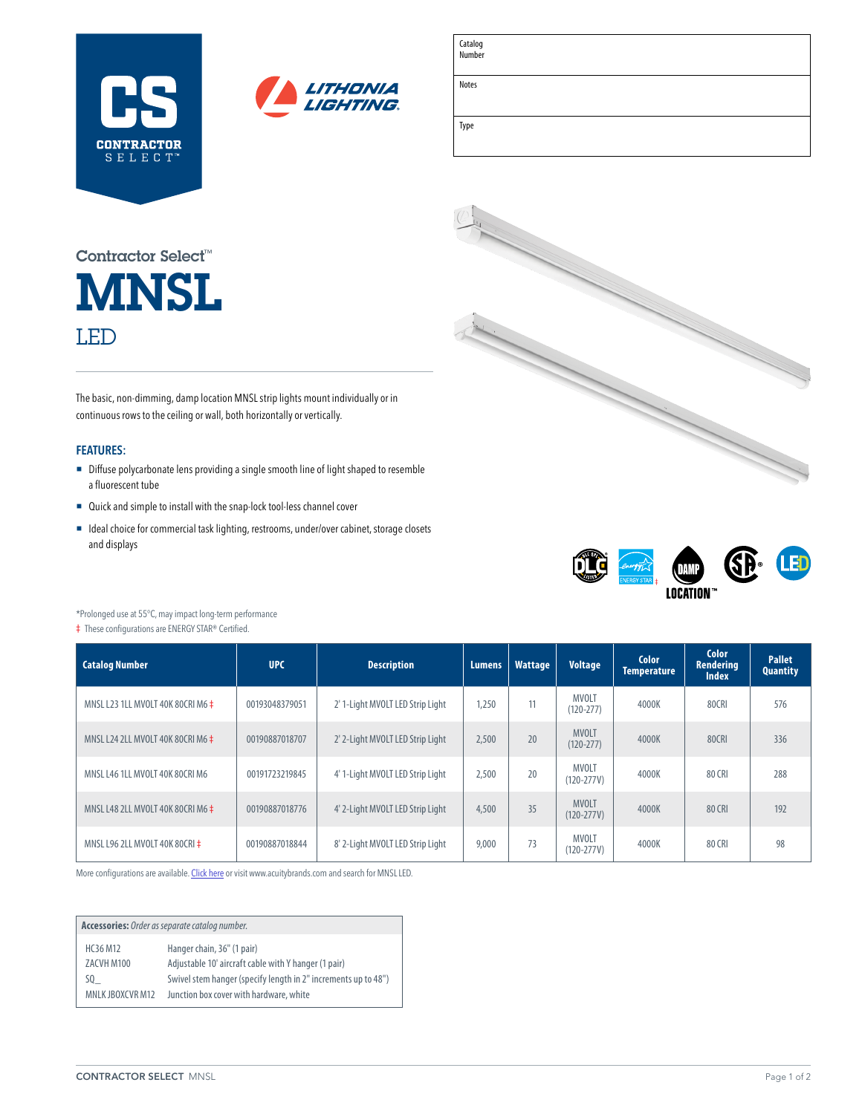| <b>CONTRACTOR</b><br>SELECT <sup>™</sup> |  |
|------------------------------------------|--|



| Catalog<br>  Number |  |  |  |
|---------------------|--|--|--|
| Notes               |  |  |  |
| Type                |  |  |  |

**MNSL** LED Contractor Select™

The basic, non-dimming, damp location MNSL strip lights mount individually or in continuous rows to the ceiling or wall, both horizontally or vertically.

## **FEATURES:**

- Diffuse polycarbonate lens providing a single smooth line of light shaped to resemble a fluorescent tube
- Quick and simple to install with the snap-lock tool-less channel cover
- Ideal choice for commercial task lighting, restrooms, under/over cabinet, storage closets and displays





\*Prolonged use at 55°C, may impact long-term performance

‡ These configurations are ENERGY STAR® Certified.

| <b>Catalog Number</b><br><b>UPC</b><br><b>Description</b> |                | Lumens.                          | <b>Wattage</b> | <b>Voltage</b> | <b>Color</b><br>Temperature    | <b>Color</b><br>Rendering<br><b>Index</b> | <b>Pallet</b><br><b>Quantity</b> |     |
|-----------------------------------------------------------|----------------|----------------------------------|----------------|----------------|--------------------------------|-------------------------------------------|----------------------------------|-----|
| MNSL L23 1LL MVOLT 40K 80CRI M6 $\pm$                     | 00193048379051 | 2' 1-Light MVOLT LED Strip Light | 1.250          | 11             | <b>MVOLT</b><br>$(120 - 277)$  | 4000K                                     | 80CRI                            | 576 |
| MNSL L24 2LL MVOLT 40K 80CRI M6 $\pm$                     | 00190887018707 | 2' 2-Light MVOLT LED Strip Light | 2,500          | 20             | <b>MVOLT</b><br>$(120 - 277)$  | 4000K                                     | 80CRI                            | 336 |
| MNSL L46 1LL MVOLT 40K 80CRI M6                           | 00191723219845 | 4' 1-Light MVOLT LED Strip Light | 2,500          | 20             | MVOLT<br>$(120 - 277V)$        | 4000K                                     | 80 CRI                           | 288 |
| MNSL L48 2LL MVOLT 40K 80CRI M6 $\pm$                     | 00190887018776 | 4' 2-Light MVOLT LED Strip Light | 4,500          | 35             | <b>MVOLT</b><br>$(120 - 277V)$ | 4000K                                     | 80 CRI                           | 192 |
| MNSL L96 2LL MVOLT 40K 80CRI ‡                            | 00190887018844 | 8' 2-Light MVOLT LED Strip Light | 9,000          | 73             | <b>MVOLT</b><br>$(120 - 277V)$ | 4000K                                     | 80 CRI                           | 98  |

More configurations are available. [Click here](https://www.acuitybrands.com/products/detail/836300/Lithonia-Lighting/MNSL-Strip-Light/LED-Dry-Location-Strip-Light) or visit [www.acuitybrands.com](http://www.acuitybrands.com) and search for MNSL LED.

**Accessories:** *Order as separate catalog number.* HC36 M12 Hanger chain, 36" (1 pair) ZACVH M100 Adjustable 10' aircraft cable with Y hanger (1 pair) SQ\_ Swivel stem hanger (specify length in 2" increments up to 48") MNLK JBOXCVR M12 Junction box cover with hardware, white